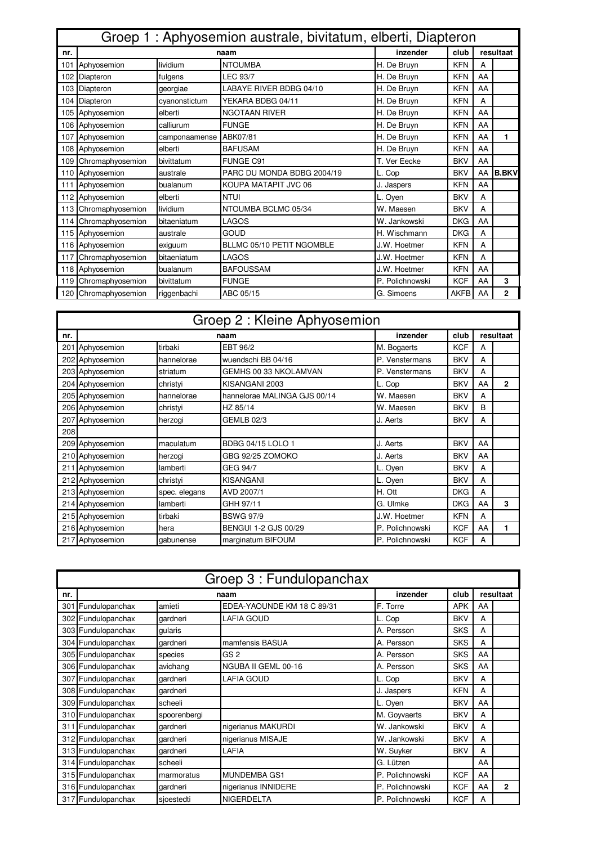|     | Groep 1: Aphyosemion australe, bivitatum, elberti, Diapteron |               |                            |                 |             |    |              |  |  |  |
|-----|--------------------------------------------------------------|---------------|----------------------------|-----------------|-------------|----|--------------|--|--|--|
| nr. |                                                              |               | naam                       | inzender        | club        |    | resultaat    |  |  |  |
| 101 | Aphyosemion                                                  | lividium      | <b>NTOUMBA</b>             | H. De Bruyn     | <b>KFN</b>  | A  |              |  |  |  |
|     | 102 Diapteron                                                | fulgens       | <b>LEC 93/7</b>            | H. De Bruyn     | <b>KFN</b>  | AA |              |  |  |  |
|     | 103 Diapteron                                                | georgiae      | LABAYE RIVER BDBG 04/10    | H. De Bruyn     | <b>KFN</b>  | AA |              |  |  |  |
|     | 104 Diapteron                                                | cyanonstictum | YEKARA BDBG 04/11          | H. De Bruyn     | <b>KFN</b>  | A  |              |  |  |  |
| 105 | Aphyosemion                                                  | elberti       | <b>NGOTAAN RIVER</b>       | H. De Bruyn     | <b>KFN</b>  | AA |              |  |  |  |
|     | 106 Aphyosemion                                              | calliurum     | <b>FUNGE</b>               | H. De Bruyn     | <b>KFN</b>  | AA |              |  |  |  |
| 107 | Aphyosemion                                                  | camponaamense | ABK07/81                   | H. De Bruyn     | <b>KFN</b>  | AA | 1            |  |  |  |
|     | 108 Aphyosemion                                              | elberti       | <b>BAFUSAM</b>             | H. De Bruyn     | <b>KFN</b>  | AA |              |  |  |  |
| 109 | Chromaphyosemion                                             | bivittatum    | FUNGE C91                  | T. Ver Eecke    | <b>BKV</b>  | AA |              |  |  |  |
|     | 110 Aphyosemion                                              | australe      | PARC DU MONDA BDBG 2004/19 | L. Cop          | <b>BKV</b>  | AA | <b>B.BKV</b> |  |  |  |
|     | 111 Aphyosemion                                              | bualanum      | KOUPA MATAPIT JVC 06       | J. Jaspers      | <b>KFN</b>  | AA |              |  |  |  |
| 112 | Aphyosemion                                                  | elberti       | <b>NTUI</b>                | L. Oyen         | <b>BKV</b>  | A  |              |  |  |  |
| 113 | Chromaphyosemion                                             | lividium      | NTOUMBA BCLMC 05/34        | W. Maesen       | <b>BKV</b>  | A  |              |  |  |  |
| 114 | Chromaphyosemion                                             | bitaeniatum   | LAGOS                      | W. Jankowski    | <b>DKG</b>  | AA |              |  |  |  |
|     | 115 Aphyosemion                                              | australe      | GOUD                       | H. Wischmann    | <b>DKG</b>  | A  |              |  |  |  |
|     | 116 Aphyosemion                                              | exiguum       | BLLMC 05/10 PETIT NGOMBLE  | J.W. Hoetmer    | <b>KFN</b>  | A  |              |  |  |  |
| 117 | Chromaphyosemion                                             | bitaeniatum   | LAGOS                      | J.W. Hoetmer    | <b>KFN</b>  | A  |              |  |  |  |
|     | 118 Aphyosemion                                              | bualanum      | <b>BAFOUSSAM</b>           | J.W. Hoetmer    | <b>KFN</b>  | AA |              |  |  |  |
|     | 119 Chromaphyosemion                                         | bivittatum    | <b>FUNGE</b>               | P. Polichnowski | <b>KCF</b>  | AA | 3            |  |  |  |
| 120 | Chromaphyosemion                                             | riggenbachi   | ABC 05/15                  | G. Simoens      | <b>AKFB</b> | AA | 2            |  |  |  |

|     | Groep 2 : Kleine Aphyosemion |               |                              |                 |            |    |              |  |  |  |  |
|-----|------------------------------|---------------|------------------------------|-----------------|------------|----|--------------|--|--|--|--|
| nr. | naam                         |               |                              | inzender        | club       |    | resultaat    |  |  |  |  |
|     | 201 Aphyosemion              | tirbaki       | EBT 96/2                     | M. Bogaerts     | <b>KCF</b> | А  |              |  |  |  |  |
|     | 202 Aphyosemion              | hannelorae    | wuendschi BB 04/16           | P. Venstermans  | <b>BKV</b> | A  |              |  |  |  |  |
|     | 203 Aphyosemion              | striatum      | GEMHS 00 33 NKOLAMVAN        | P. Venstermans  | <b>BKV</b> | A  |              |  |  |  |  |
|     | 204 Aphyosemion              | christyi      | KISANGANI 2003               | L. Cop          | <b>BKV</b> | AA | $\mathbf{2}$ |  |  |  |  |
|     | 205 Aphyosemion              | hannelorae    | hannelorae MALINGA GJS 00/14 | W. Maesen       | <b>BKV</b> | A  |              |  |  |  |  |
|     | 206 Aphyosemion              | christyi      | HZ 85/14                     | W. Maesen       | <b>BKV</b> | B  |              |  |  |  |  |
|     | 207 Aphyosemion              | herzogi       | <b>GEMLB 02/3</b>            | J. Aerts        | <b>BKV</b> | A  |              |  |  |  |  |
| 208 |                              |               |                              |                 |            |    |              |  |  |  |  |
|     | 209 Aphyosemion              | maculatum     | <b>BDBG 04/15 LOLO 1</b>     | J. Aerts        | <b>BKV</b> | AA |              |  |  |  |  |
|     | 210 Aphyosemion              | herzogi       | GBG 92/25 ZOMOKO             | J. Aerts        | <b>BKV</b> | AA |              |  |  |  |  |
|     | 211 Aphyosemion              | lamberti      | GEG 94/7                     | L. Oyen         | <b>BKV</b> | A  |              |  |  |  |  |
|     | 212 Aphyosemion              | christyi      | <b>KISANGANI</b>             | L. Oyen         | <b>BKV</b> | A  |              |  |  |  |  |
|     | 213 Aphyosemion              | spec. elegans | AVD 2007/1                   | H. Ott          | <b>DKG</b> | A  |              |  |  |  |  |
|     | 214 Aphyosemion              | lamberti      | GHH 97/11                    | G. Ulmke        | <b>DKG</b> | AA | 3            |  |  |  |  |
|     | 215 Aphyosemion              | tirbaki       | <b>BSWG 97/9</b>             | J.W. Hoetmer    | <b>KFN</b> | А  |              |  |  |  |  |
|     | 216 Aphyosemion              | hera          | BENGUI 1-2 GJS 00/29         | P. Polichnowski | <b>KCF</b> | AA | 1            |  |  |  |  |
|     | 217 Aphyosemion              | laabunense    | marginatum BIFOUM            | P. Polichnowski | <b>KCF</b> | A  |              |  |  |  |  |

|     | Groep 3 : Fundulopanchax |              |                            |                 |            |    |              |  |  |  |  |
|-----|--------------------------|--------------|----------------------------|-----------------|------------|----|--------------|--|--|--|--|
| nr. |                          |              | naam                       | inzender        | club       |    | resultaat    |  |  |  |  |
|     | 301 Fundulopanchax       | amieti       | EDEA-YAOUNDE KM 18 C 89/31 | F. Torre        | <b>APK</b> | AA |              |  |  |  |  |
|     | 302 Fundulopanchax       | qardneri     | <b>LAFIA GOUD</b>          | L. Cop          | <b>BKV</b> | A  |              |  |  |  |  |
|     | 303 Fundulopanchax       | qularis      |                            | A. Persson      | <b>SKS</b> | A  |              |  |  |  |  |
|     | 304 Fundulopanchax       | qardneri     | mamfensis BASUA            | A. Persson      | <b>SKS</b> | A  |              |  |  |  |  |
|     | 305 Fundulopanchax       | species      | GS <sub>2</sub>            | A. Persson      | <b>SKS</b> | AA |              |  |  |  |  |
|     | 306 Fundulopanchax       | avichang     | NGUBA II GEML 00-16        | A. Persson      | <b>SKS</b> | AA |              |  |  |  |  |
|     | 307 Fundulopanchax       | qardneri     | <b>LAFIA GOUD</b>          | L. Cop          | <b>BKV</b> | A  |              |  |  |  |  |
|     | 308 Fundulopanchax       | gardneri     |                            | J. Jaspers      | <b>KFN</b> | А  |              |  |  |  |  |
|     | 309 Fundulopanchax       | scheeli      |                            | L. Oyen         | <b>BKV</b> | AA |              |  |  |  |  |
|     | 310 Fundulopanchax       | spoorenbergi |                            | M. Goyvaerts    | <b>BKV</b> | А  |              |  |  |  |  |
|     | 311 Fundulopanchax       | qardneri     | nigerianus MAKURDI         | W. Jankowski    | <b>BKV</b> | A  |              |  |  |  |  |
|     | 312 Fundulopanchax       | qardneri     | nigerianus MISAJE          | W. Jankowski    | <b>BKV</b> | A  |              |  |  |  |  |
|     | 313 Fundulopanchax       | qardneri     | LAFIA                      | W. Suyker       | <b>BKV</b> | А  |              |  |  |  |  |
|     | 314 Fundulopanchax       | scheeli      |                            | G. Lützen       |            | AA |              |  |  |  |  |
|     | 315 Fundulopanchax       | marmoratus   | MUNDEMBA GS1               | P. Polichnowski | <b>KCF</b> | AA |              |  |  |  |  |
|     | 316 Fundulopanchax       | gardneri     | nigerianus INNIDERE        | P. Polichnowski | <b>KCF</b> | AA | $\mathbf{2}$ |  |  |  |  |
|     | 317 Fundulopanchax       | sjoestedti   | <b>NIGERDELTA</b>          | P. Polichnowski | <b>KCF</b> | A  |              |  |  |  |  |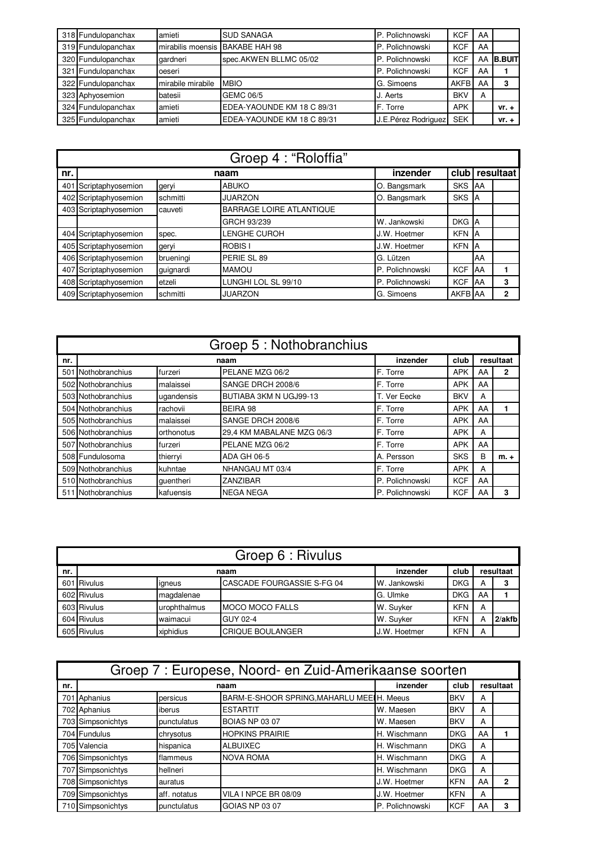| 318 Fundulopanchax | amieti            | <b>SUD SANAGA</b>          | P. Polichnowski     | <b>KCF</b>  | AA |               |
|--------------------|-------------------|----------------------------|---------------------|-------------|----|---------------|
| 319 Fundulopanchax | mirabilis moensis | BAKABE HAH 98              | P. Polichnowski     | <b>KCF</b>  | AA |               |
| 320 Fundulopanchax | gardneri          | spec.AKWEN BLLMC 05/02     | P. Polichnowski     | <b>KCF</b>  | AA | <b>B.BUIT</b> |
| 321 Fundulopanchax | oeseri            |                            | P. Polichnowski     | <b>KCF</b>  | AA |               |
| 322 Fundulopanchax | mirabile mirabile | <b>MBIO</b>                | G. Simoens          | <b>AKFB</b> | AA | 3             |
| 323 Aphyosemion    | batesii           | <b>GEMC 06/5</b>           | J. Aerts            | <b>BKV</b>  | A  |               |
| 324 Fundulopanchax | amieti            | EDEA-YAOUNDE KM 18 C 89/31 | F. Torre            | <b>APK</b>  |    | $vr. +$       |
| 325 Fundulopanchax | amieti            | EDEA-YAOUNDE KM 18 C 89/31 | J.E.Pérez Rodriguez | <b>SEK</b>  |    | $vr. +$       |

|     |                       |           | Groep 4 : "Roloffia"            |                 |            |    |              |
|-----|-----------------------|-----------|---------------------------------|-----------------|------------|----|--------------|
| nr. |                       |           | naam                            | inzender        | club       |    | resultaat    |
|     | 401 Scriptaphyosemion | geryi     | <b>ABUKO</b>                    | O. Bangsmark    | <b>SKS</b> | AA |              |
|     | 402 Scriptaphyosemion | schmitti  | <b>JUARZON</b>                  | O. Bangsmark    | <b>SKS</b> | A  |              |
|     | 403 Scriptaphyosemion | cauveti   | <b>BARRAGE LOIRE ATLANTIQUE</b> |                 |            |    |              |
|     |                       |           | GRCH 93/239                     | W. Jankowski    | <b>DKG</b> | A  |              |
|     | 404 Scriptaphyosemion | spec.     | LENGHE CUROH                    | J.W. Hoetmer    | <b>KFN</b> | ΙA |              |
|     | 405 Scriptaphyosemion | geryi     | <b>ROBIS I</b>                  | J.W. Hoetmer    | <b>KFN</b> | ΙA |              |
|     | 406 Scriptaphyosemion | brueningi | PERIE SL 89                     | G. Lützen       |            | AA |              |
|     | 407 Scriptaphyosemion | guignardi | <b>MAMOU</b>                    | P. Polichnowski | <b>KCF</b> | AA |              |
|     | 408 Scriptaphyosemion | etzeli    | LUNGHI LOL SL 99/10             | P. Polichnowski | <b>KCF</b> | AA | 3            |
|     | 409 Scriptaphyosemion | schmitti  | <b>JUARZON</b>                  | G. Simoens      | AKFB AA    |    | $\mathbf{2}$ |

|     | Groep 5 : Nothobranchius |            |                           |                 |            |    |           |  |  |  |  |  |
|-----|--------------------------|------------|---------------------------|-----------------|------------|----|-----------|--|--|--|--|--|
| nr. |                          |            | naam                      | inzender        | club       |    | resultaat |  |  |  |  |  |
|     | 501 Nothobranchius       | furzeri    | PELANE MZG 06/2           | F. Torre        | <b>APK</b> | AA | 2         |  |  |  |  |  |
|     | 502 Nothobranchius       | malaissei  | SANGE DRCH 2008/6         | F. Torre        | <b>APK</b> | AA |           |  |  |  |  |  |
|     | 503 Nothobranchius       | ugandensis | BUTIABA 3KM N UGJ99-13    | T. Ver Eecke    | <b>BKV</b> | A  |           |  |  |  |  |  |
|     | 504 Nothobranchius       | rachovii   | BEIRA 98                  | F. Torre        | <b>APK</b> | AA |           |  |  |  |  |  |
|     | 505 Nothobranchius       | malaissei  | SANGE DRCH 2008/6         | F. Torre        | <b>APK</b> | AA |           |  |  |  |  |  |
|     | 506 Nothobranchius       | orthonotus | 29,4 KM MABALANE MZG 06/3 | F. Torre        | <b>APK</b> | A  |           |  |  |  |  |  |
|     | 507 Nothobranchius       | furzeri    | PELANE MZG 06/2           | F. Torre        | <b>APK</b> | AA |           |  |  |  |  |  |
|     | 508 Fundulosoma          | thierryi   | ADA GH 06-5               | A. Persson      | <b>SKS</b> | B  | $m +$     |  |  |  |  |  |
|     | 509 Nothobranchius       | kuhntae    | NHANGAU MT 03/4           | F. Torre        | <b>APK</b> | A  |           |  |  |  |  |  |
|     | 510 Nothobranchius       | quentheri  | ZANZIBAR                  | P. Polichnowski | <b>KCF</b> | AA |           |  |  |  |  |  |
|     | 511 Nothobranchius       | kafuensis  | <b>NEGA NEGA</b>          | P. Polichnowski | <b>KCF</b> | AA | 3         |  |  |  |  |  |

|     | Groep 6 : Rivulus |              |                            |              |            |    |           |  |  |  |  |
|-----|-------------------|--------------|----------------------------|--------------|------------|----|-----------|--|--|--|--|
| nr. | naam              |              |                            |              | club       |    | resultaat |  |  |  |  |
|     | 601 Rivulus       | igneus       | CASCADE FOURGASSIE S-FG 04 | W. Jankowski | <b>DKG</b> | А  |           |  |  |  |  |
|     | 602 Rivulus       | magdalenae   |                            | G. Ulmke     | <b>DKG</b> | AA |           |  |  |  |  |
|     | 603 Rivulus       | urophthalmus | <b>IMOCO MOCO FALLS</b>    | W. Suyker    | <b>KFN</b> | A  |           |  |  |  |  |
|     | 604 Rivulus       | waimacui     | GUY 02-4                   | W. Suyker    | <b>KFN</b> | А  | $2/a$ kfb |  |  |  |  |
|     | 605 Rivulus       | xiphidius    | <b>CRIQUE BOULANGER</b>    | J.W. Hoetmer | <b>KFN</b> | A  |           |  |  |  |  |

|     | Groep 7 : Europese, Noord- en Zuid-Amerikaanse soorten |              |                                           |                 |            |    |              |  |  |  |  |
|-----|--------------------------------------------------------|--------------|-------------------------------------------|-----------------|------------|----|--------------|--|--|--|--|
| nr. |                                                        |              | naam                                      | inzender        | club       |    | resultaat    |  |  |  |  |
|     | 701 Aphanius                                           | persicus     | BARM-E-SHOOR SPRING, MAHARLU MEEIH. Meeus |                 | <b>BKV</b> | А  |              |  |  |  |  |
|     | 702 Aphanius                                           | iberus       | <b>ESTARTIT</b>                           | W. Maesen       | <b>BKV</b> | А  |              |  |  |  |  |
|     | 703 Simpsonichtys                                      | punctulatus  | <b>BOIAS NP 03 07</b>                     | W. Maesen       | <b>BKV</b> | А  |              |  |  |  |  |
|     | 704 Fundulus                                           | chrysotus    | <b>HOPKINS PRAIRIE</b>                    | H. Wischmann    | <b>DKG</b> | AA |              |  |  |  |  |
|     | 705 Valencia                                           | hispanica    | <b>ALBUIXEC</b>                           | H. Wischmann    | <b>DKG</b> | Α  |              |  |  |  |  |
|     | 706 Simpsonichtys                                      | flammeus     | <b>NOVA ROMA</b>                          | H. Wischmann    | <b>DKG</b> | А  |              |  |  |  |  |
|     | 707 Simpsonichtys                                      | hellneri     |                                           | H. Wischmann    | <b>DKG</b> | А  |              |  |  |  |  |
|     | 708 Simpsonichtys                                      | auratus      |                                           | J.W. Hoetmer    | <b>KFN</b> | AA | $\mathbf{2}$ |  |  |  |  |
|     | 709 Simpsonichtys                                      | aff. notatus | VILA I NPCE BR 08/09                      | J.W. Hoetmer    | <b>KFN</b> | Α  |              |  |  |  |  |
|     | 710 Simpsonichtys                                      | punctulatus  | GOIAS NP 03 07                            | P. Polichnowski | <b>KCF</b> | AA | 3            |  |  |  |  |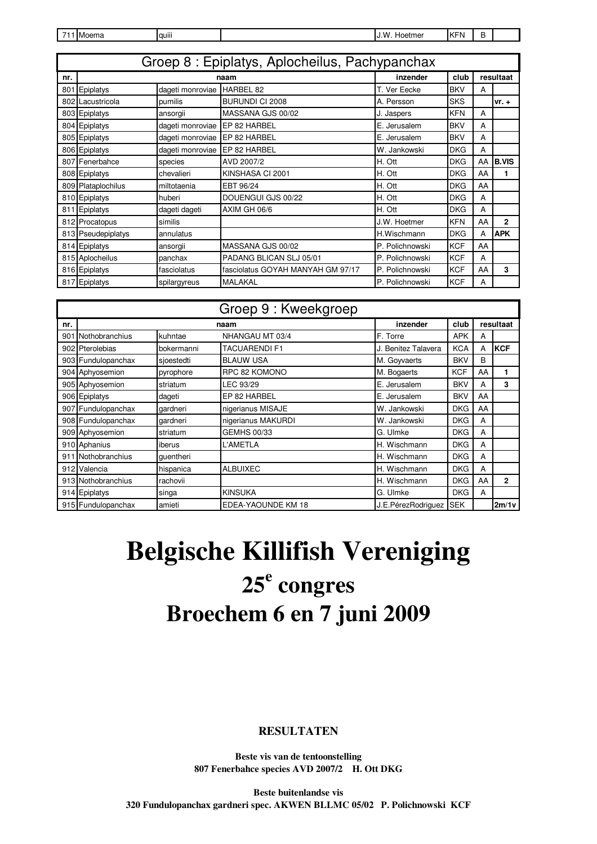| 711 Moema |  |
|-----------|--|
|-----------|--|

quiii and a contract of the set of the set of the set of the set of the set of the set of the set of the set of the set of the set of the set of the set of the set of the set of the set of the set of the set of the set of

**nr. inzender club** 801 Epiplatys dageti monroviae HARBEL 82 T. Ver Eecke BKV A 802 Lacustricola **pumilis** BURUNDI CI 2008 A. Persson SKS vr. + 803 Epiplatys ansorgii MASSANA GJS 00/02 J. Jaspers KFN A 804 Epiplatys dageti monroviae EP 82 HARBEL E. Jerusalem BKV | A 805 Epiplatys dageti monroviae EP 82 HARBEL BET E. Jerusalem BKV A 806 Epiplatys dageti monroviae EP 82 HARBEL W. Jankowski DKG A 807 Fenerbahce species AVD 2007/2 H. Ott DKG AA **B.VIS** 808 Epiplatys chevalieri KINSHASA CI 2001 H. Ott DKG AA **1** 809 Plataplochilus miltotaenia EBT 96/24 H. Ott DKG AA 810 Epiplatys huberi DOUENGUI GJS 00/22 H. Ott DKG A 811 Epiplatys dageti dageti AXIM GH 06/6 H. Ott DKG A 812 Procatopus similis similis similis and the state of the state of the state of the state of the state of the state of the state of the state of the state of the state of the state of the state of the state of the state 813 Pseudepiplatys annulatus **Fig. 2013** H.Wischmann DKG | A **APK** 814 Epiplatys ansorgii MASSANA GJS 00/02 P. Polichnowski KCF AA 815 Aplocheilus panchax PADANG BLICAN SLJ 05/01 P. Polichnowski KCF A 816 Epiplatys fasciolatus fasciolatus GOYAH MANYAH GM 97/17 P. Polichnowski KCF AA **3** 817 Epiplatys spilargyreus MALAKAL P. Polichnowski KCF A **resultaat** Groep 8 : Epiplatys, Aplocheilus, Pachypanchax **naam**

|     |                    |            | Groep 9 : Kweekgroep |                     |            |    |              |
|-----|--------------------|------------|----------------------|---------------------|------------|----|--------------|
| nr. |                    |            | naam                 | inzender            | club       |    | resultaat    |
|     | 901 Nothobranchius | kuhntae    | NHANGAU MT 03/4      | F. Torre            | <b>APK</b> | A  |              |
|     | 902 Pterolebias    | bokermanni | TACUARENDI F1        | J. Benitez Talavera | <b>KCA</b> | A  | <b>KCF</b>   |
|     | 903 Fundulopanchax | sioestedti | <b>BLAUW USA</b>     | M. Goyvaerts        | <b>BKV</b> | В  |              |
|     | 904 Aphyosemion    | pyrophore  | RPC 82 KOMONO        | M. Bogaerts         | <b>KCF</b> | AA | 1            |
|     | 905 Aphyosemion    | striatum   | LEC 93/29            | E. Jerusalem        | <b>BKV</b> | A  | 3            |
|     | 906 Epiplatys      | dageti     | EP 82 HARBEL         | E. Jerusalem        | <b>BKV</b> | AA |              |
|     | 907 Fundulopanchax | gardneri   | nigerianus MISAJE    | W. Jankowski        | <b>DKG</b> | AA |              |
|     | 908 Fundulopanchax | qardneri   | nigerianus MAKURDI   | W. Jankowski        | <b>DKG</b> | A  |              |
|     | 909 Aphyosemion    | striatum   | <b>GEMHS 00/33</b>   | G. Ulmke            | <b>DKG</b> | A  |              |
|     | 910 Aphanius       | iberus     | L'AMETLA             | H. Wischmann        | <b>DKG</b> | A  |              |
|     | 911 Nothobranchius | quentheri  |                      | H. Wischmann        | <b>DKG</b> | A  |              |
|     | 912 Valencia       | hispanica  | <b>ALBUIXEC</b>      | H. Wischmann        | <b>DKG</b> | A  |              |
|     | 913 Nothobranchius | rachovii   |                      | H. Wischmann        | <b>DKG</b> | AA | $\mathbf{2}$ |
|     | 914 Epiplatys      | singa      | <b>KINSUKA</b>       | G. Ulmke            | <b>DKG</b> | A  |              |
|     | 915 Fundulopanchax | amieti     | EDEA-YAOUNDE KM 18   | J.E.PérezRodriguez  | <b>SEK</b> |    | 2m/1v        |

## **Belgische Killifish Vereniging 25<sup>e</sup> congres Broechem 6 en 7 juni 2009**

## **RESULTATEN**

**Beste vis van de tentoonstelling 807 Fenerbahce species AVD 2007/2 H. Ott DKG**

**Beste buitenlandse vis 320 Fundulopanchax gardneri spec. AKWEN BLLMC 05/02 P. Polichnowski KCF**